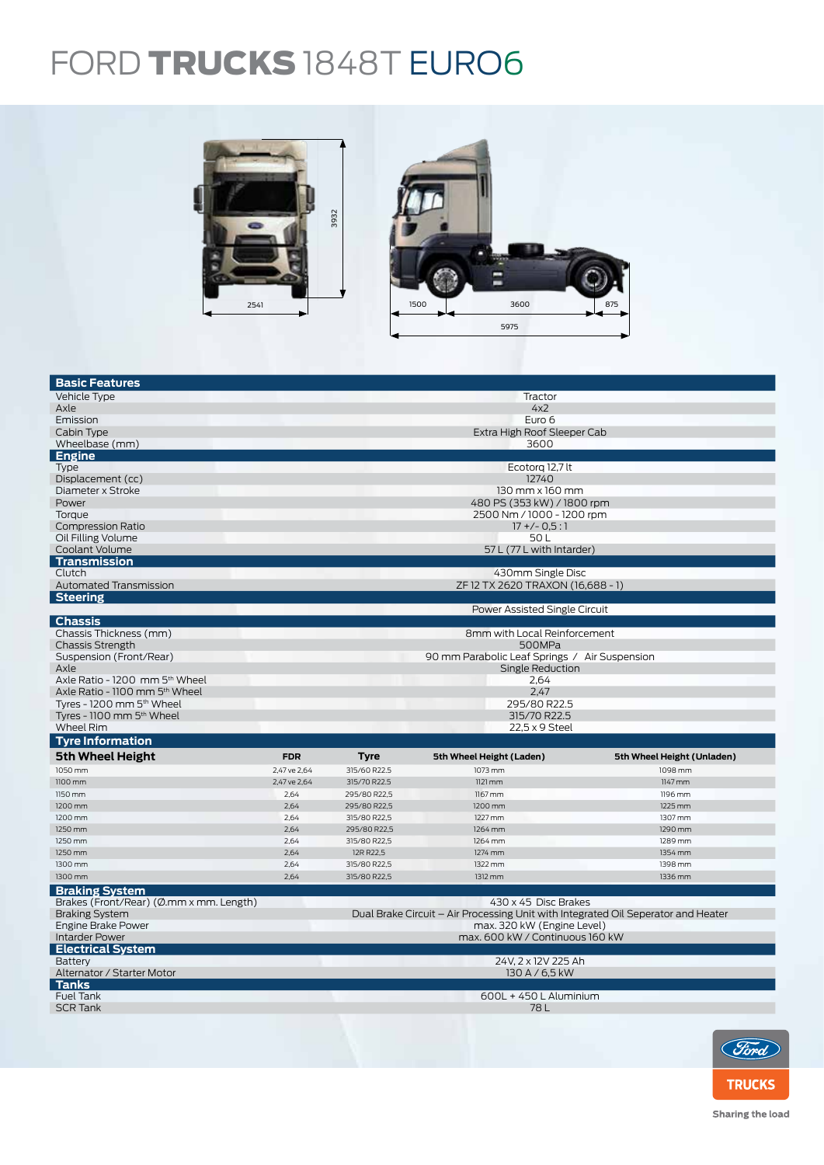## FORD TRUCKS 1848T EURO6



| Vehicle Type<br>Tractor<br>4x2<br>Axle<br>Emission<br>Euro 6<br>Cabin Type<br>Extra High Roof Sleeper Cab<br>Wheelbase (mm)<br>3600<br><b>Engine</b><br>Ecotorg 12,7 lt<br><b>Type</b><br>Displacement (cc)<br>12740<br>130 mm x 160 mm<br>Diameter x Stroke<br>Power<br>480 PS (353 kW) / 1800 rpm<br>Torque<br>2500 Nm / 1000 - 1200 rpm<br><b>Compression Ratio</b><br>$17 + (-0.5:1)$<br>Oil Filling Volume<br>50L<br>57 L (77 L with Intarder)<br>Coolant Volume<br><b>Transmission</b><br>Clutch<br>430mm Single Disc<br>Automated Transmission<br>ZF 12 TX 2620 TRAXON (16,688 - 1)<br><b>Steering</b><br>Power Assisted Single Circuit<br><b>Chassis</b><br>Chassis Thickness (mm)<br>8mm with Local Reinforcement<br><b>Chassis Strength</b><br>500MPa<br>Suspension (Front/Rear)<br>90 mm Parabolic Leaf Springs / Air Suspension<br>Single Reduction<br>Axle<br>Axle Ratio - 1200 mm 5 <sup>th</sup> Wheel<br>2.64<br>Axle Ratio - 1100 mm 5th Wheel<br>2,47<br>Tyres - 1200 mm 5th Wheel<br>295/80 R22.5<br>Tyres - 1100 mm 5 <sup>th</sup> Wheel<br>315/70 R22.5<br>Wheel Rim<br>22,5 x 9 Steel<br><b>Tyre Information</b><br><b>5th Wheel Height</b><br><b>FDR</b><br><b>Tyre</b><br>5th Wheel Height (Laden)<br>5th Wheel Height (Unladen)<br>1050 mm<br>2,47 ve 2,64<br>315/60 R22.5<br>1073 mm<br>1098 mm<br>1100 mm<br>2,47 ve 2,64<br>315/70 R22.5<br>$1121$ mm<br>1147 mm<br>1150 mm<br>2,64<br>295/80 R22,5<br>1167 mm<br>1196 mm<br>2,64<br>1225 mm<br>1200 mm<br>295/80 R22,5<br>1200 mm<br>1200 mm<br>2,64<br>315/80 R22.5<br>1307 mm<br>1227 mm<br>2,64<br>1290 mm<br>1250 mm<br>295/80 R22,5<br>1264 mm<br>1250 mm<br>2,64<br>315/80 R22,5<br>1264 mm<br>1289 mm<br>1250 mm<br>2,64<br>12R R22,5<br>1274 mm<br>1354 mm<br>1300 mm<br>2,64<br>1322 mm<br>315/80 R22,5<br>1398 mm<br>1300 mm<br>2.64<br>315/80 R22,5<br>1312 mm<br>1336 mm<br><b>Braking System</b><br>Brakes (Front/Rear) (Ø.mm x mm. Length)<br>430 x 45 Disc Brakes<br>Dual Brake Circuit – Air Processing Unit with Integrated Oil Seperator and Heater<br><b>Braking System</b><br>Engine Brake Power<br>max. 320 kW (Engine Level)<br><b>Intarder Power</b><br>max. 600 kW / Continuous 160 kW<br><b>Electrical System</b><br>24V, 2 x 12V 225 Ah<br>Battery<br>Alternator / Starter Motor<br>130 A / 6,5 kW<br><b>Tanks</b><br>600L + 450 L Aluminium<br>Fuel Tank<br><b>SCR Tank</b><br>78 L | <b>Basic Features</b> |  |  |  |  |  |
|----------------------------------------------------------------------------------------------------------------------------------------------------------------------------------------------------------------------------------------------------------------------------------------------------------------------------------------------------------------------------------------------------------------------------------------------------------------------------------------------------------------------------------------------------------------------------------------------------------------------------------------------------------------------------------------------------------------------------------------------------------------------------------------------------------------------------------------------------------------------------------------------------------------------------------------------------------------------------------------------------------------------------------------------------------------------------------------------------------------------------------------------------------------------------------------------------------------------------------------------------------------------------------------------------------------------------------------------------------------------------------------------------------------------------------------------------------------------------------------------------------------------------------------------------------------------------------------------------------------------------------------------------------------------------------------------------------------------------------------------------------------------------------------------------------------------------------------------------------------------------------------------------------------------------------------------------------------------------------------------------------------------------------------------------------------------------------------------------------------------------------------------------------------------------------------------------------------------------------------------------------------------------------------------------------------------------------------------------------------------------------------------|-----------------------|--|--|--|--|--|
|                                                                                                                                                                                                                                                                                                                                                                                                                                                                                                                                                                                                                                                                                                                                                                                                                                                                                                                                                                                                                                                                                                                                                                                                                                                                                                                                                                                                                                                                                                                                                                                                                                                                                                                                                                                                                                                                                                                                                                                                                                                                                                                                                                                                                                                                                                                                                                                              |                       |  |  |  |  |  |
|                                                                                                                                                                                                                                                                                                                                                                                                                                                                                                                                                                                                                                                                                                                                                                                                                                                                                                                                                                                                                                                                                                                                                                                                                                                                                                                                                                                                                                                                                                                                                                                                                                                                                                                                                                                                                                                                                                                                                                                                                                                                                                                                                                                                                                                                                                                                                                                              |                       |  |  |  |  |  |
|                                                                                                                                                                                                                                                                                                                                                                                                                                                                                                                                                                                                                                                                                                                                                                                                                                                                                                                                                                                                                                                                                                                                                                                                                                                                                                                                                                                                                                                                                                                                                                                                                                                                                                                                                                                                                                                                                                                                                                                                                                                                                                                                                                                                                                                                                                                                                                                              |                       |  |  |  |  |  |
|                                                                                                                                                                                                                                                                                                                                                                                                                                                                                                                                                                                                                                                                                                                                                                                                                                                                                                                                                                                                                                                                                                                                                                                                                                                                                                                                                                                                                                                                                                                                                                                                                                                                                                                                                                                                                                                                                                                                                                                                                                                                                                                                                                                                                                                                                                                                                                                              |                       |  |  |  |  |  |
|                                                                                                                                                                                                                                                                                                                                                                                                                                                                                                                                                                                                                                                                                                                                                                                                                                                                                                                                                                                                                                                                                                                                                                                                                                                                                                                                                                                                                                                                                                                                                                                                                                                                                                                                                                                                                                                                                                                                                                                                                                                                                                                                                                                                                                                                                                                                                                                              |                       |  |  |  |  |  |
|                                                                                                                                                                                                                                                                                                                                                                                                                                                                                                                                                                                                                                                                                                                                                                                                                                                                                                                                                                                                                                                                                                                                                                                                                                                                                                                                                                                                                                                                                                                                                                                                                                                                                                                                                                                                                                                                                                                                                                                                                                                                                                                                                                                                                                                                                                                                                                                              |                       |  |  |  |  |  |
|                                                                                                                                                                                                                                                                                                                                                                                                                                                                                                                                                                                                                                                                                                                                                                                                                                                                                                                                                                                                                                                                                                                                                                                                                                                                                                                                                                                                                                                                                                                                                                                                                                                                                                                                                                                                                                                                                                                                                                                                                                                                                                                                                                                                                                                                                                                                                                                              |                       |  |  |  |  |  |
|                                                                                                                                                                                                                                                                                                                                                                                                                                                                                                                                                                                                                                                                                                                                                                                                                                                                                                                                                                                                                                                                                                                                                                                                                                                                                                                                                                                                                                                                                                                                                                                                                                                                                                                                                                                                                                                                                                                                                                                                                                                                                                                                                                                                                                                                                                                                                                                              |                       |  |  |  |  |  |
|                                                                                                                                                                                                                                                                                                                                                                                                                                                                                                                                                                                                                                                                                                                                                                                                                                                                                                                                                                                                                                                                                                                                                                                                                                                                                                                                                                                                                                                                                                                                                                                                                                                                                                                                                                                                                                                                                                                                                                                                                                                                                                                                                                                                                                                                                                                                                                                              |                       |  |  |  |  |  |
|                                                                                                                                                                                                                                                                                                                                                                                                                                                                                                                                                                                                                                                                                                                                                                                                                                                                                                                                                                                                                                                                                                                                                                                                                                                                                                                                                                                                                                                                                                                                                                                                                                                                                                                                                                                                                                                                                                                                                                                                                                                                                                                                                                                                                                                                                                                                                                                              |                       |  |  |  |  |  |
|                                                                                                                                                                                                                                                                                                                                                                                                                                                                                                                                                                                                                                                                                                                                                                                                                                                                                                                                                                                                                                                                                                                                                                                                                                                                                                                                                                                                                                                                                                                                                                                                                                                                                                                                                                                                                                                                                                                                                                                                                                                                                                                                                                                                                                                                                                                                                                                              |                       |  |  |  |  |  |
|                                                                                                                                                                                                                                                                                                                                                                                                                                                                                                                                                                                                                                                                                                                                                                                                                                                                                                                                                                                                                                                                                                                                                                                                                                                                                                                                                                                                                                                                                                                                                                                                                                                                                                                                                                                                                                                                                                                                                                                                                                                                                                                                                                                                                                                                                                                                                                                              |                       |  |  |  |  |  |
|                                                                                                                                                                                                                                                                                                                                                                                                                                                                                                                                                                                                                                                                                                                                                                                                                                                                                                                                                                                                                                                                                                                                                                                                                                                                                                                                                                                                                                                                                                                                                                                                                                                                                                                                                                                                                                                                                                                                                                                                                                                                                                                                                                                                                                                                                                                                                                                              |                       |  |  |  |  |  |
|                                                                                                                                                                                                                                                                                                                                                                                                                                                                                                                                                                                                                                                                                                                                                                                                                                                                                                                                                                                                                                                                                                                                                                                                                                                                                                                                                                                                                                                                                                                                                                                                                                                                                                                                                                                                                                                                                                                                                                                                                                                                                                                                                                                                                                                                                                                                                                                              |                       |  |  |  |  |  |
|                                                                                                                                                                                                                                                                                                                                                                                                                                                                                                                                                                                                                                                                                                                                                                                                                                                                                                                                                                                                                                                                                                                                                                                                                                                                                                                                                                                                                                                                                                                                                                                                                                                                                                                                                                                                                                                                                                                                                                                                                                                                                                                                                                                                                                                                                                                                                                                              |                       |  |  |  |  |  |
|                                                                                                                                                                                                                                                                                                                                                                                                                                                                                                                                                                                                                                                                                                                                                                                                                                                                                                                                                                                                                                                                                                                                                                                                                                                                                                                                                                                                                                                                                                                                                                                                                                                                                                                                                                                                                                                                                                                                                                                                                                                                                                                                                                                                                                                                                                                                                                                              |                       |  |  |  |  |  |
|                                                                                                                                                                                                                                                                                                                                                                                                                                                                                                                                                                                                                                                                                                                                                                                                                                                                                                                                                                                                                                                                                                                                                                                                                                                                                                                                                                                                                                                                                                                                                                                                                                                                                                                                                                                                                                                                                                                                                                                                                                                                                                                                                                                                                                                                                                                                                                                              |                       |  |  |  |  |  |
|                                                                                                                                                                                                                                                                                                                                                                                                                                                                                                                                                                                                                                                                                                                                                                                                                                                                                                                                                                                                                                                                                                                                                                                                                                                                                                                                                                                                                                                                                                                                                                                                                                                                                                                                                                                                                                                                                                                                                                                                                                                                                                                                                                                                                                                                                                                                                                                              |                       |  |  |  |  |  |
|                                                                                                                                                                                                                                                                                                                                                                                                                                                                                                                                                                                                                                                                                                                                                                                                                                                                                                                                                                                                                                                                                                                                                                                                                                                                                                                                                                                                                                                                                                                                                                                                                                                                                                                                                                                                                                                                                                                                                                                                                                                                                                                                                                                                                                                                                                                                                                                              |                       |  |  |  |  |  |
|                                                                                                                                                                                                                                                                                                                                                                                                                                                                                                                                                                                                                                                                                                                                                                                                                                                                                                                                                                                                                                                                                                                                                                                                                                                                                                                                                                                                                                                                                                                                                                                                                                                                                                                                                                                                                                                                                                                                                                                                                                                                                                                                                                                                                                                                                                                                                                                              |                       |  |  |  |  |  |
|                                                                                                                                                                                                                                                                                                                                                                                                                                                                                                                                                                                                                                                                                                                                                                                                                                                                                                                                                                                                                                                                                                                                                                                                                                                                                                                                                                                                                                                                                                                                                                                                                                                                                                                                                                                                                                                                                                                                                                                                                                                                                                                                                                                                                                                                                                                                                                                              |                       |  |  |  |  |  |
|                                                                                                                                                                                                                                                                                                                                                                                                                                                                                                                                                                                                                                                                                                                                                                                                                                                                                                                                                                                                                                                                                                                                                                                                                                                                                                                                                                                                                                                                                                                                                                                                                                                                                                                                                                                                                                                                                                                                                                                                                                                                                                                                                                                                                                                                                                                                                                                              |                       |  |  |  |  |  |
|                                                                                                                                                                                                                                                                                                                                                                                                                                                                                                                                                                                                                                                                                                                                                                                                                                                                                                                                                                                                                                                                                                                                                                                                                                                                                                                                                                                                                                                                                                                                                                                                                                                                                                                                                                                                                                                                                                                                                                                                                                                                                                                                                                                                                                                                                                                                                                                              |                       |  |  |  |  |  |
|                                                                                                                                                                                                                                                                                                                                                                                                                                                                                                                                                                                                                                                                                                                                                                                                                                                                                                                                                                                                                                                                                                                                                                                                                                                                                                                                                                                                                                                                                                                                                                                                                                                                                                                                                                                                                                                                                                                                                                                                                                                                                                                                                                                                                                                                                                                                                                                              |                       |  |  |  |  |  |
|                                                                                                                                                                                                                                                                                                                                                                                                                                                                                                                                                                                                                                                                                                                                                                                                                                                                                                                                                                                                                                                                                                                                                                                                                                                                                                                                                                                                                                                                                                                                                                                                                                                                                                                                                                                                                                                                                                                                                                                                                                                                                                                                                                                                                                                                                                                                                                                              |                       |  |  |  |  |  |
|                                                                                                                                                                                                                                                                                                                                                                                                                                                                                                                                                                                                                                                                                                                                                                                                                                                                                                                                                                                                                                                                                                                                                                                                                                                                                                                                                                                                                                                                                                                                                                                                                                                                                                                                                                                                                                                                                                                                                                                                                                                                                                                                                                                                                                                                                                                                                                                              |                       |  |  |  |  |  |
|                                                                                                                                                                                                                                                                                                                                                                                                                                                                                                                                                                                                                                                                                                                                                                                                                                                                                                                                                                                                                                                                                                                                                                                                                                                                                                                                                                                                                                                                                                                                                                                                                                                                                                                                                                                                                                                                                                                                                                                                                                                                                                                                                                                                                                                                                                                                                                                              |                       |  |  |  |  |  |
|                                                                                                                                                                                                                                                                                                                                                                                                                                                                                                                                                                                                                                                                                                                                                                                                                                                                                                                                                                                                                                                                                                                                                                                                                                                                                                                                                                                                                                                                                                                                                                                                                                                                                                                                                                                                                                                                                                                                                                                                                                                                                                                                                                                                                                                                                                                                                                                              |                       |  |  |  |  |  |
|                                                                                                                                                                                                                                                                                                                                                                                                                                                                                                                                                                                                                                                                                                                                                                                                                                                                                                                                                                                                                                                                                                                                                                                                                                                                                                                                                                                                                                                                                                                                                                                                                                                                                                                                                                                                                                                                                                                                                                                                                                                                                                                                                                                                                                                                                                                                                                                              |                       |  |  |  |  |  |
|                                                                                                                                                                                                                                                                                                                                                                                                                                                                                                                                                                                                                                                                                                                                                                                                                                                                                                                                                                                                                                                                                                                                                                                                                                                                                                                                                                                                                                                                                                                                                                                                                                                                                                                                                                                                                                                                                                                                                                                                                                                                                                                                                                                                                                                                                                                                                                                              |                       |  |  |  |  |  |
|                                                                                                                                                                                                                                                                                                                                                                                                                                                                                                                                                                                                                                                                                                                                                                                                                                                                                                                                                                                                                                                                                                                                                                                                                                                                                                                                                                                                                                                                                                                                                                                                                                                                                                                                                                                                                                                                                                                                                                                                                                                                                                                                                                                                                                                                                                                                                                                              |                       |  |  |  |  |  |
|                                                                                                                                                                                                                                                                                                                                                                                                                                                                                                                                                                                                                                                                                                                                                                                                                                                                                                                                                                                                                                                                                                                                                                                                                                                                                                                                                                                                                                                                                                                                                                                                                                                                                                                                                                                                                                                                                                                                                                                                                                                                                                                                                                                                                                                                                                                                                                                              |                       |  |  |  |  |  |
|                                                                                                                                                                                                                                                                                                                                                                                                                                                                                                                                                                                                                                                                                                                                                                                                                                                                                                                                                                                                                                                                                                                                                                                                                                                                                                                                                                                                                                                                                                                                                                                                                                                                                                                                                                                                                                                                                                                                                                                                                                                                                                                                                                                                                                                                                                                                                                                              |                       |  |  |  |  |  |
|                                                                                                                                                                                                                                                                                                                                                                                                                                                                                                                                                                                                                                                                                                                                                                                                                                                                                                                                                                                                                                                                                                                                                                                                                                                                                                                                                                                                                                                                                                                                                                                                                                                                                                                                                                                                                                                                                                                                                                                                                                                                                                                                                                                                                                                                                                                                                                                              |                       |  |  |  |  |  |
|                                                                                                                                                                                                                                                                                                                                                                                                                                                                                                                                                                                                                                                                                                                                                                                                                                                                                                                                                                                                                                                                                                                                                                                                                                                                                                                                                                                                                                                                                                                                                                                                                                                                                                                                                                                                                                                                                                                                                                                                                                                                                                                                                                                                                                                                                                                                                                                              |                       |  |  |  |  |  |
|                                                                                                                                                                                                                                                                                                                                                                                                                                                                                                                                                                                                                                                                                                                                                                                                                                                                                                                                                                                                                                                                                                                                                                                                                                                                                                                                                                                                                                                                                                                                                                                                                                                                                                                                                                                                                                                                                                                                                                                                                                                                                                                                                                                                                                                                                                                                                                                              |                       |  |  |  |  |  |
|                                                                                                                                                                                                                                                                                                                                                                                                                                                                                                                                                                                                                                                                                                                                                                                                                                                                                                                                                                                                                                                                                                                                                                                                                                                                                                                                                                                                                                                                                                                                                                                                                                                                                                                                                                                                                                                                                                                                                                                                                                                                                                                                                                                                                                                                                                                                                                                              |                       |  |  |  |  |  |
|                                                                                                                                                                                                                                                                                                                                                                                                                                                                                                                                                                                                                                                                                                                                                                                                                                                                                                                                                                                                                                                                                                                                                                                                                                                                                                                                                                                                                                                                                                                                                                                                                                                                                                                                                                                                                                                                                                                                                                                                                                                                                                                                                                                                                                                                                                                                                                                              |                       |  |  |  |  |  |
|                                                                                                                                                                                                                                                                                                                                                                                                                                                                                                                                                                                                                                                                                                                                                                                                                                                                                                                                                                                                                                                                                                                                                                                                                                                                                                                                                                                                                                                                                                                                                                                                                                                                                                                                                                                                                                                                                                                                                                                                                                                                                                                                                                                                                                                                                                                                                                                              |                       |  |  |  |  |  |
|                                                                                                                                                                                                                                                                                                                                                                                                                                                                                                                                                                                                                                                                                                                                                                                                                                                                                                                                                                                                                                                                                                                                                                                                                                                                                                                                                                                                                                                                                                                                                                                                                                                                                                                                                                                                                                                                                                                                                                                                                                                                                                                                                                                                                                                                                                                                                                                              |                       |  |  |  |  |  |
|                                                                                                                                                                                                                                                                                                                                                                                                                                                                                                                                                                                                                                                                                                                                                                                                                                                                                                                                                                                                                                                                                                                                                                                                                                                                                                                                                                                                                                                                                                                                                                                                                                                                                                                                                                                                                                                                                                                                                                                                                                                                                                                                                                                                                                                                                                                                                                                              |                       |  |  |  |  |  |
|                                                                                                                                                                                                                                                                                                                                                                                                                                                                                                                                                                                                                                                                                                                                                                                                                                                                                                                                                                                                                                                                                                                                                                                                                                                                                                                                                                                                                                                                                                                                                                                                                                                                                                                                                                                                                                                                                                                                                                                                                                                                                                                                                                                                                                                                                                                                                                                              |                       |  |  |  |  |  |
|                                                                                                                                                                                                                                                                                                                                                                                                                                                                                                                                                                                                                                                                                                                                                                                                                                                                                                                                                                                                                                                                                                                                                                                                                                                                                                                                                                                                                                                                                                                                                                                                                                                                                                                                                                                                                                                                                                                                                                                                                                                                                                                                                                                                                                                                                                                                                                                              |                       |  |  |  |  |  |
|                                                                                                                                                                                                                                                                                                                                                                                                                                                                                                                                                                                                                                                                                                                                                                                                                                                                                                                                                                                                                                                                                                                                                                                                                                                                                                                                                                                                                                                                                                                                                                                                                                                                                                                                                                                                                                                                                                                                                                                                                                                                                                                                                                                                                                                                                                                                                                                              |                       |  |  |  |  |  |
|                                                                                                                                                                                                                                                                                                                                                                                                                                                                                                                                                                                                                                                                                                                                                                                                                                                                                                                                                                                                                                                                                                                                                                                                                                                                                                                                                                                                                                                                                                                                                                                                                                                                                                                                                                                                                                                                                                                                                                                                                                                                                                                                                                                                                                                                                                                                                                                              |                       |  |  |  |  |  |
|                                                                                                                                                                                                                                                                                                                                                                                                                                                                                                                                                                                                                                                                                                                                                                                                                                                                                                                                                                                                                                                                                                                                                                                                                                                                                                                                                                                                                                                                                                                                                                                                                                                                                                                                                                                                                                                                                                                                                                                                                                                                                                                                                                                                                                                                                                                                                                                              |                       |  |  |  |  |  |
|                                                                                                                                                                                                                                                                                                                                                                                                                                                                                                                                                                                                                                                                                                                                                                                                                                                                                                                                                                                                                                                                                                                                                                                                                                                                                                                                                                                                                                                                                                                                                                                                                                                                                                                                                                                                                                                                                                                                                                                                                                                                                                                                                                                                                                                                                                                                                                                              |                       |  |  |  |  |  |
|                                                                                                                                                                                                                                                                                                                                                                                                                                                                                                                                                                                                                                                                                                                                                                                                                                                                                                                                                                                                                                                                                                                                                                                                                                                                                                                                                                                                                                                                                                                                                                                                                                                                                                                                                                                                                                                                                                                                                                                                                                                                                                                                                                                                                                                                                                                                                                                              |                       |  |  |  |  |  |
|                                                                                                                                                                                                                                                                                                                                                                                                                                                                                                                                                                                                                                                                                                                                                                                                                                                                                                                                                                                                                                                                                                                                                                                                                                                                                                                                                                                                                                                                                                                                                                                                                                                                                                                                                                                                                                                                                                                                                                                                                                                                                                                                                                                                                                                                                                                                                                                              |                       |  |  |  |  |  |
|                                                                                                                                                                                                                                                                                                                                                                                                                                                                                                                                                                                                                                                                                                                                                                                                                                                                                                                                                                                                                                                                                                                                                                                                                                                                                                                                                                                                                                                                                                                                                                                                                                                                                                                                                                                                                                                                                                                                                                                                                                                                                                                                                                                                                                                                                                                                                                                              |                       |  |  |  |  |  |
|                                                                                                                                                                                                                                                                                                                                                                                                                                                                                                                                                                                                                                                                                                                                                                                                                                                                                                                                                                                                                                                                                                                                                                                                                                                                                                                                                                                                                                                                                                                                                                                                                                                                                                                                                                                                                                                                                                                                                                                                                                                                                                                                                                                                                                                                                                                                                                                              |                       |  |  |  |  |  |
|                                                                                                                                                                                                                                                                                                                                                                                                                                                                                                                                                                                                                                                                                                                                                                                                                                                                                                                                                                                                                                                                                                                                                                                                                                                                                                                                                                                                                                                                                                                                                                                                                                                                                                                                                                                                                                                                                                                                                                                                                                                                                                                                                                                                                                                                                                                                                                                              |                       |  |  |  |  |  |
|                                                                                                                                                                                                                                                                                                                                                                                                                                                                                                                                                                                                                                                                                                                                                                                                                                                                                                                                                                                                                                                                                                                                                                                                                                                                                                                                                                                                                                                                                                                                                                                                                                                                                                                                                                                                                                                                                                                                                                                                                                                                                                                                                                                                                                                                                                                                                                                              |                       |  |  |  |  |  |
|                                                                                                                                                                                                                                                                                                                                                                                                                                                                                                                                                                                                                                                                                                                                                                                                                                                                                                                                                                                                                                                                                                                                                                                                                                                                                                                                                                                                                                                                                                                                                                                                                                                                                                                                                                                                                                                                                                                                                                                                                                                                                                                                                                                                                                                                                                                                                                                              |                       |  |  |  |  |  |



Sharing the load